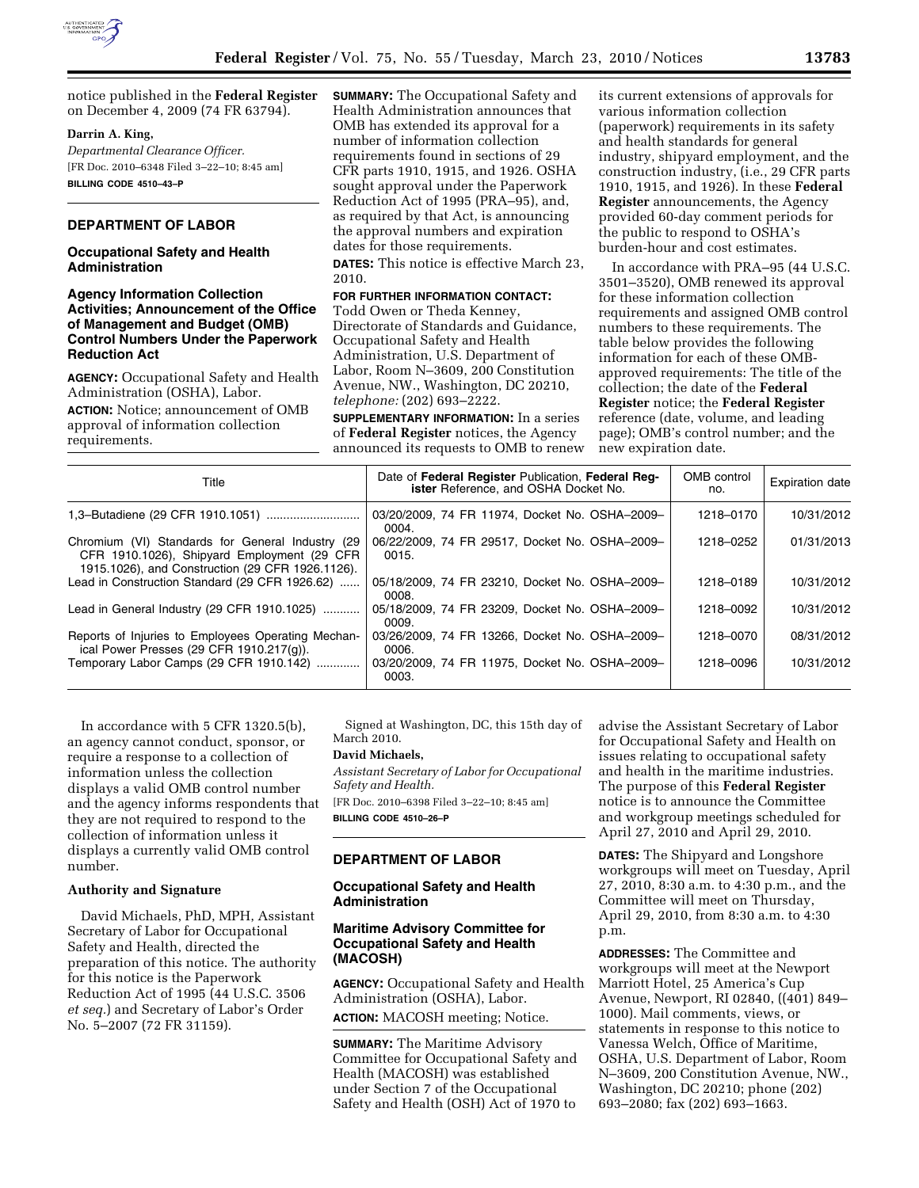

notice published in the **Federal Register**  on December 4, 2009 (74 FR 63794).

### **Darrin A. King,**

*Departmental Clearance Officer.*  [FR Doc. 2010–6348 Filed 3–22–10; 8:45 am] **BILLING CODE 4510–43–P** 

## **DEPARTMENT OF LABOR**

### **Occupational Safety and Health Administration**

### **Agency Information Collection Activities; Announcement of the Office of Management and Budget (OMB) Control Numbers Under the Paperwork Reduction Act**

**AGENCY:** Occupational Safety and Health Administration (OSHA), Labor.

**ACTION:** Notice; announcement of OMB approval of information collection requirements.

**SUMMARY:** The Occupational Safety and Health Administration announces that OMB has extended its approval for a number of information collection requirements found in sections of 29 CFR parts 1910, 1915, and 1926. OSHA sought approval under the Paperwork Reduction Act of 1995 (PRA–95), and, as required by that Act, is announcing the approval numbers and expiration dates for those requirements.

**DATES:** This notice is effective March 23, 2010.

## **FOR FURTHER INFORMATION CONTACT:**

Todd Owen or Theda Kenney, Directorate of Standards and Guidance, Occupational Safety and Health Administration, U.S. Department of Labor, Room N–3609, 200 Constitution Avenue, NW., Washington, DC 20210, *telephone:* (202) 693–2222.

**SUPPLEMENTARY INFORMATION:** In a series of **Federal Register** notices, the Agency announced its requests to OMB to renew its current extensions of approvals for various information collection (paperwork) requirements in its safety and health standards for general industry, shipyard employment, and the construction industry, (i.e., 29 CFR parts 1910, 1915, and 1926). In these **Federal Register** announcements, the Agency provided 60-day comment periods for the public to respond to OSHA's burden-hour and cost estimates.

In accordance with PRA–95 (44 U.S.C. 3501–3520), OMB renewed its approval for these information collection requirements and assigned OMB control numbers to these requirements. The table below provides the following information for each of these OMBapproved requirements: The title of the collection; the date of the **Federal Register** notice; the **Federal Register**  reference (date, volume, and leading page); OMB's control number; and the new expiration date.

| Title                                                                                                                                               | Date of Federal Register Publication, Federal Reg-<br><b>ister</b> Reference, and OSHA Docket No. | OMB control<br>no. | <b>Expiration date</b> |
|-----------------------------------------------------------------------------------------------------------------------------------------------------|---------------------------------------------------------------------------------------------------|--------------------|------------------------|
|                                                                                                                                                     | 03/20/2009, 74 FR 11974, Docket No. OSHA-2009-<br>0004.                                           | 1218-0170          | 10/31/2012             |
| Chromium (VI) Standards for General Industry (29<br>CFR 1910.1026), Shipyard Employment (29 CFR<br>1915.1026), and Construction (29 CFR 1926.1126). | 06/22/2009, 74 FR 29517, Docket No. OSHA-2009-<br>0015.                                           | 1218-0252          | 01/31/2013             |
| Lead in Construction Standard (29 CFR 1926.62)                                                                                                      | 05/18/2009, 74 FR 23210, Docket No. OSHA-2009-<br>0008.                                           | 1218-0189          | 10/31/2012             |
| Lead in General Industry (29 CFR 1910.1025)                                                                                                         | 05/18/2009, 74 FR 23209, Docket No. OSHA-2009-<br>0009.                                           | 1218-0092          | 10/31/2012             |
| Reports of Injuries to Employees Operating Mechan-<br>ical Power Presses (29 CFR 1910.217(q)).                                                      | 03/26/2009, 74 FR 13266, Docket No. OSHA-2009-<br>0006.                                           | 1218-0070          | 08/31/2012             |
| Temporary Labor Camps (29 CFR 1910.142)                                                                                                             | 03/20/2009, 74 FR 11975, Docket No. OSHA-2009-<br>0003.                                           | 1218-0096          | 10/31/2012             |

In accordance with 5 CFR 1320.5(b), an agency cannot conduct, sponsor, or require a response to a collection of information unless the collection displays a valid OMB control number and the agency informs respondents that they are not required to respond to the collection of information unless it displays a currently valid OMB control number.

### **Authority and Signature**

David Michaels, PhD, MPH, Assistant Secretary of Labor for Occupational Safety and Health, directed the preparation of this notice. The authority for this notice is the Paperwork Reduction Act of 1995 (44 U.S.C. 3506 *et seq.*) and Secretary of Labor's Order No. 5–2007 (72 FR 31159).

Signed at Washington, DC, this 15th day of March 2010.

### **David Michaels,**

*Assistant Secretary of Labor for Occupational Safety and Health.* 

[FR Doc. 2010–6398 Filed 3–22–10; 8:45 am] **BILLING CODE 4510–26–P** 

# **DEPARTMENT OF LABOR**

### **Occupational Safety and Health Administration**

### **Maritime Advisory Committee for Occupational Safety and Health (MACOSH)**

**AGENCY:** Occupational Safety and Health Administration (OSHA), Labor. **ACTION:** MACOSH meeting; Notice.

**SUMMARY:** The Maritime Advisory Committee for Occupational Safety and Health (MACOSH) was established under Section 7 of the Occupational Safety and Health (OSH) Act of 1970 to

advise the Assistant Secretary of Labor for Occupational Safety and Health on issues relating to occupational safety and health in the maritime industries. The purpose of this **Federal Register**  notice is to announce the Committee and workgroup meetings scheduled for April 27, 2010 and April 29, 2010.

**DATES:** The Shipyard and Longshore workgroups will meet on Tuesday, April 27, 2010, 8:30 a.m. to 4:30 p.m., and the Committee will meet on Thursday, April 29, 2010, from 8:30 a.m. to 4:30 p.m.

**ADDRESSES:** The Committee and workgroups will meet at the Newport Marriott Hotel, 25 America's Cup Avenue, Newport, RI 02840, ((401) 849– 1000). Mail comments, views, or statements in response to this notice to Vanessa Welch, Office of Maritime, OSHA, U.S. Department of Labor, Room N–3609, 200 Constitution Avenue, NW., Washington, DC 20210; phone (202) 693–2080; fax (202) 693–1663.